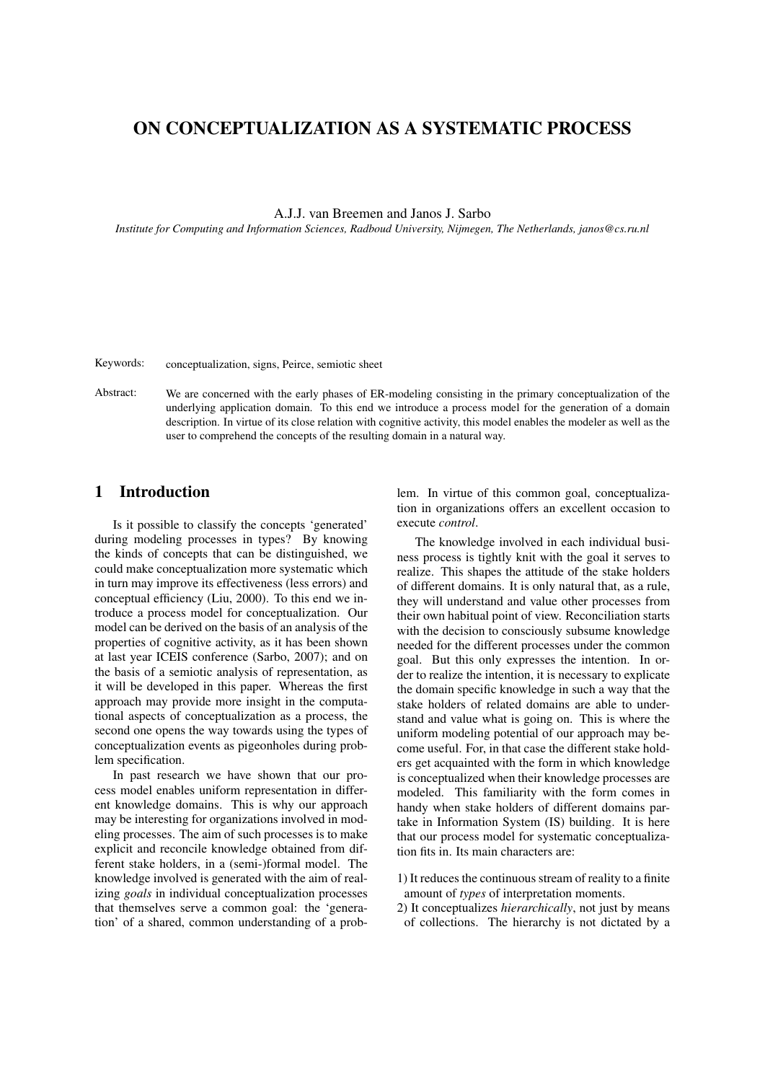# ON CONCEPTUALIZATION AS A SYSTEMATIC PROCESS

A.J.J. van Breemen and Janos J. Sarbo

*Institute for Computing and Information Sciences, Radboud University, Nijmegen, The Netherlands, janos@cs.ru.nl*

Keywords: conceptualization, signs, Peirce, semiotic sheet

Abstract: We are concerned with the early phases of ER-modeling consisting in the primary conceptualization of the underlying application domain. To this end we introduce a process model for the generation of a domain description. In virtue of its close relation with cognitive activity, this model enables the modeler as well as the user to comprehend the concepts of the resulting domain in a natural way.

## 1 Introduction

Is it possible to classify the concepts 'generated' during modeling processes in types? By knowing the kinds of concepts that can be distinguished, we could make conceptualization more systematic which in turn may improve its effectiveness (less errors) and conceptual efficiency (Liu, 2000). To this end we introduce a process model for conceptualization. Our model can be derived on the basis of an analysis of the properties of cognitive activity, as it has been shown at last year ICEIS conference (Sarbo, 2007); and on the basis of a semiotic analysis of representation, as it will be developed in this paper. Whereas the first approach may provide more insight in the computational aspects of conceptualization as a process, the second one opens the way towards using the types of conceptualization events as pigeonholes during problem specification.

In past research we have shown that our process model enables uniform representation in different knowledge domains. This is why our approach may be interesting for organizations involved in modeling processes. The aim of such processes is to make explicit and reconcile knowledge obtained from different stake holders, in a (semi-)formal model. The knowledge involved is generated with the aim of realizing *goals* in individual conceptualization processes that themselves serve a common goal: the 'generation' of a shared, common understanding of a problem. In virtue of this common goal, conceptualization in organizations offers an excellent occasion to execute *control*.

The knowledge involved in each individual business process is tightly knit with the goal it serves to realize. This shapes the attitude of the stake holders of different domains. It is only natural that, as a rule, they will understand and value other processes from their own habitual point of view. Reconciliation starts with the decision to consciously subsume knowledge needed for the different processes under the common goal. But this only expresses the intention. In order to realize the intention, it is necessary to explicate the domain specific knowledge in such a way that the stake holders of related domains are able to understand and value what is going on. This is where the uniform modeling potential of our approach may become useful. For, in that case the different stake holders get acquainted with the form in which knowledge is conceptualized when their knowledge processes are modeled. This familiarity with the form comes in handy when stake holders of different domains partake in Information System (IS) building. It is here that our process model for systematic conceptualization fits in. Its main characters are:

- 1) It reduces the continuous stream of reality to a finite amount of *types* of interpretation moments.
- 2) It conceptualizes *hierarchically*, not just by means of collections. The hierarchy is not dictated by a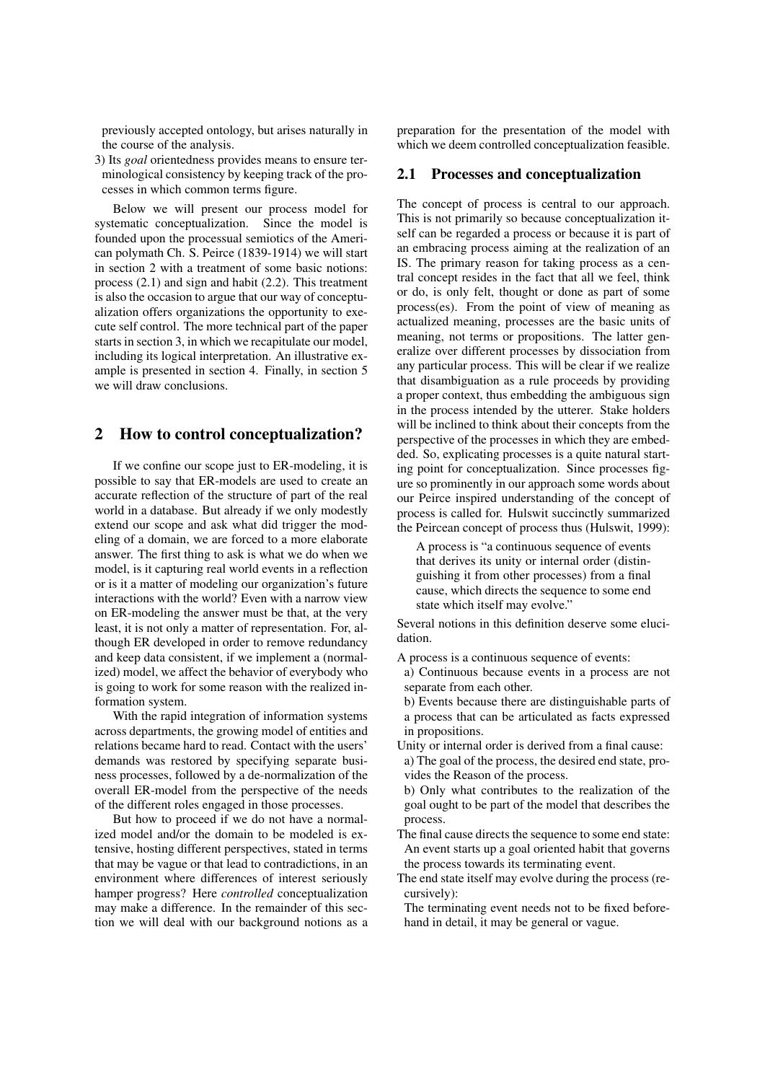previously accepted ontology, but arises naturally in the course of the analysis.

3) Its *goal* orientedness provides means to ensure terminological consistency by keeping track of the processes in which common terms figure.

Below we will present our process model for systematic conceptualization. Since the model is founded upon the processual semiotics of the American polymath Ch. S. Peirce (1839-1914) we will start in section 2 with a treatment of some basic notions: process (2.1) and sign and habit (2.2). This treatment is also the occasion to argue that our way of conceptualization offers organizations the opportunity to execute self control. The more technical part of the paper starts in section 3, in which we recapitulate our model, including its logical interpretation. An illustrative example is presented in section 4. Finally, in section 5 we will draw conclusions.

### 2 How to control conceptualization?

If we confine our scope just to ER-modeling, it is possible to say that ER-models are used to create an accurate reflection of the structure of part of the real world in a database. But already if we only modestly extend our scope and ask what did trigger the modeling of a domain, we are forced to a more elaborate answer. The first thing to ask is what we do when we model, is it capturing real world events in a reflection or is it a matter of modeling our organization's future interactions with the world? Even with a narrow view on ER-modeling the answer must be that, at the very least, it is not only a matter of representation. For, although ER developed in order to remove redundancy and keep data consistent, if we implement a (normalized) model, we affect the behavior of everybody who is going to work for some reason with the realized information system.

With the rapid integration of information systems across departments, the growing model of entities and relations became hard to read. Contact with the users' demands was restored by specifying separate business processes, followed by a de-normalization of the overall ER-model from the perspective of the needs of the different roles engaged in those processes.

But how to proceed if we do not have a normalized model and/or the domain to be modeled is extensive, hosting different perspectives, stated in terms that may be vague or that lead to contradictions, in an environment where differences of interest seriously hamper progress? Here *controlled* conceptualization may make a difference. In the remainder of this section we will deal with our background notions as a preparation for the presentation of the model with which we deem controlled conceptualization feasible.

#### 2.1 Processes and conceptualization

The concept of process is central to our approach. This is not primarily so because conceptualization itself can be regarded a process or because it is part of an embracing process aiming at the realization of an IS. The primary reason for taking process as a central concept resides in the fact that all we feel, think or do, is only felt, thought or done as part of some process(es). From the point of view of meaning as actualized meaning, processes are the basic units of meaning, not terms or propositions. The latter generalize over different processes by dissociation from any particular process. This will be clear if we realize that disambiguation as a rule proceeds by providing a proper context, thus embedding the ambiguous sign in the process intended by the utterer. Stake holders will be inclined to think about their concepts from the perspective of the processes in which they are embedded. So, explicating processes is a quite natural starting point for conceptualization. Since processes figure so prominently in our approach some words about our Peirce inspired understanding of the concept of process is called for. Hulswit succinctly summarized the Peircean concept of process thus (Hulswit, 1999):

A process is "a continuous sequence of events that derives its unity or internal order (distinguishing it from other processes) from a final cause, which directs the sequence to some end state which itself may evolve."

Several notions in this definition deserve some elucidation.

A process is a continuous sequence of events:

- a) Continuous because events in a process are not separate from each other.
- b) Events because there are distinguishable parts of a process that can be articulated as facts expressed in propositions.
- Unity or internal order is derived from a final cause: a) The goal of the process, the desired end state, provides the Reason of the process.
- b) Only what contributes to the realization of the goal ought to be part of the model that describes the process.
- The final cause directs the sequence to some end state: An event starts up a goal oriented habit that governs the process towards its terminating event.
- The end state itself may evolve during the process (recursively):

The terminating event needs not to be fixed beforehand in detail, it may be general or vague.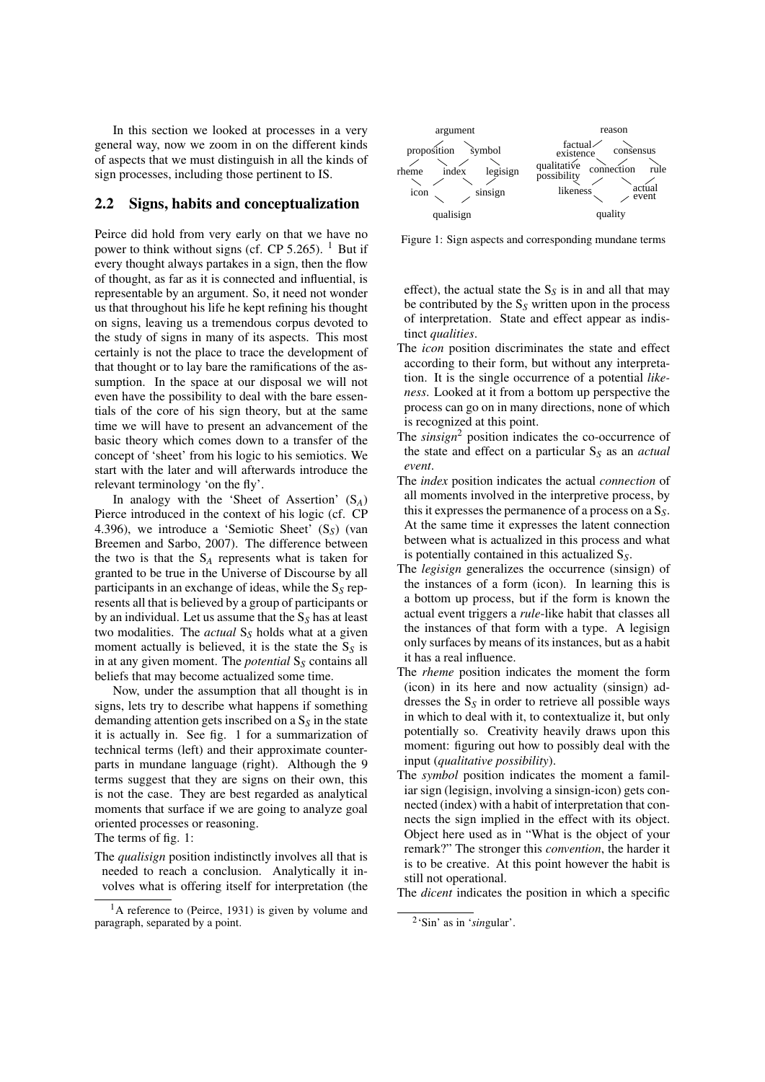In this section we looked at processes in a very general way, now we zoom in on the different kinds of aspects that we must distinguish in all the kinds of sign processes, including those pertinent to IS.

### 2.2 Signs, habits and conceptualization

Peirce did hold from very early on that we have no power to think without signs (cf. CP 5.265).  $<sup>1</sup>$  But if</sup> every thought always partakes in a sign, then the flow of thought, as far as it is connected and influential, is representable by an argument. So, it need not wonder us that throughout his life he kept refining his thought on signs, leaving us a tremendous corpus devoted to the study of signs in many of its aspects. This most certainly is not the place to trace the development of that thought or to lay bare the ramifications of the assumption. In the space at our disposal we will not even have the possibility to deal with the bare essentials of the core of his sign theory, but at the same time we will have to present an advancement of the basic theory which comes down to a transfer of the concept of 'sheet' from his logic to his semiotics. We start with the later and will afterwards introduce the relevant terminology 'on the fly'.

In analogy with the 'Sheet of Assertion' (S*A*) Pierce introduced in the context of his logic (cf. CP 4.396), we introduce a 'Semiotic Sheet' (S*S*) (van Breemen and Sarbo, 2007). The difference between the two is that the  $S_A$  represents what is taken for granted to be true in the Universe of Discourse by all participants in an exchange of ideas, while the S*<sup>S</sup>* represents all that is believed by a group of participants or by an individual. Let us assume that the S*<sup>S</sup>* has at least two modalities. The *actual* S*<sup>S</sup>* holds what at a given moment actually is believed, it is the state the  $S_S$  is in at any given moment. The *potential* S<sub>S</sub> contains all beliefs that may become actualized some time.

Now, under the assumption that all thought is in signs, lets try to describe what happens if something demanding attention gets inscribed on a  $S<sub>S</sub>$  in the state it is actually in. See fig. 1 for a summarization of technical terms (left) and their approximate counterparts in mundane language (right). Although the 9 terms suggest that they are signs on their own, this is not the case. They are best regarded as analytical moments that surface if we are going to analyze goal oriented processes or reasoning.

The terms of fig. 1:

- The *qualisign* position indistinctly involves all that is needed to reach a conclusion. Analytically it involves what is offering itself for interpretation (the
- <sup>1</sup>A reference to (Peirce, 1931) is given by volume and paragraph, separated by a point.



Figure 1: Sign aspects and corresponding mundane terms

effect), the actual state the  $S_S$  is in and all that may be contributed by the  $S<sub>S</sub>$  written upon in the process of interpretation. State and effect appear as indistinct *qualities*.

- The *icon* position discriminates the state and effect according to their form, but without any interpretation. It is the single occurrence of a potential *likeness*. Looked at it from a bottom up perspective the process can go on in many directions, none of which is recognized at this point.
- The *sinsign*<sup>2</sup> position indicates the co-occurrence of the state and effect on a particular S*<sup>S</sup>* as an *actual event*.
- The *index* position indicates the actual *connection* of all moments involved in the interpretive process, by this it expresses the permanence of a process on a S*S*. At the same time it expresses the latent connection between what is actualized in this process and what is potentially contained in this actualized S*S*.
- The *legisign* generalizes the occurrence (sinsign) of the instances of a form (icon). In learning this is a bottom up process, but if the form is known the actual event triggers a *rule*-like habit that classes all the instances of that form with a type. A legisign only surfaces by means of its instances, but as a habit it has a real influence.
- The *rheme* position indicates the moment the form (icon) in its here and now actuality (sinsign) addresses the S*<sup>S</sup>* in order to retrieve all possible ways in which to deal with it, to contextualize it, but only potentially so. Creativity heavily draws upon this moment: figuring out how to possibly deal with the input (*qualitative possibility*).
- The *symbol* position indicates the moment a familiar sign (legisign, involving a sinsign-icon) gets connected (index) with a habit of interpretation that connects the sign implied in the effect with its object. Object here used as in "What is the object of your remark?" The stronger this *convention*, the harder it is to be creative. At this point however the habit is still not operational.

The *dicent* indicates the position in which a specific

<sup>2</sup> 'Sin' as in '*sin*gular'.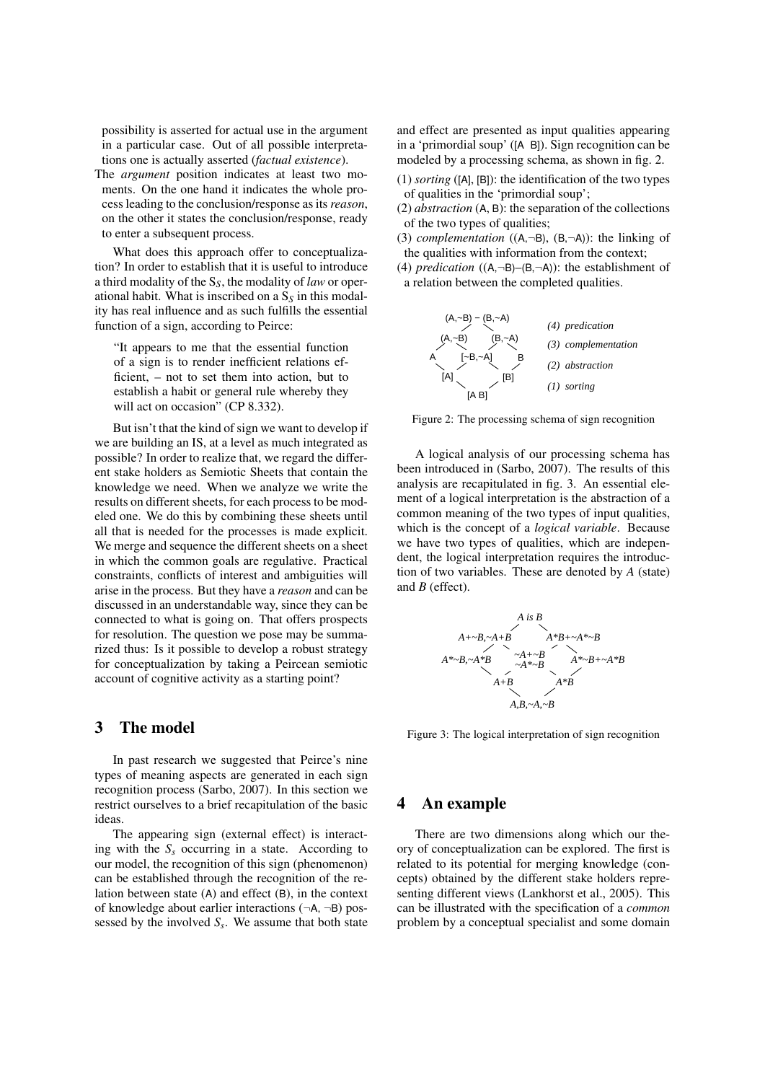possibility is asserted for actual use in the argument in a particular case. Out of all possible interpretations one is actually asserted (*factual existence*).

The *argument* position indicates at least two moments. On the one hand it indicates the whole process leading to the conclusion/response as its*reason*, on the other it states the conclusion/response, ready to enter a subsequent process.

What does this approach offer to conceptualization? In order to establish that it is useful to introduce a third modality of the S*S*, the modality of *law* or operational habit. What is inscribed on a  $S<sub>S</sub>$  in this modality has real influence and as such fulfills the essential function of a sign, according to Peirce:

"It appears to me that the essential function of a sign is to render inefficient relations efficient, – not to set them into action, but to establish a habit or general rule whereby they will act on occasion" (CP 8.332).

But isn't that the kind of sign we want to develop if we are building an IS, at a level as much integrated as possible? In order to realize that, we regard the different stake holders as Semiotic Sheets that contain the knowledge we need. When we analyze we write the results on different sheets, for each process to be modeled one. We do this by combining these sheets until all that is needed for the processes is made explicit. We merge and sequence the different sheets on a sheet in which the common goals are regulative. Practical constraints, conflicts of interest and ambiguities will arise in the process. But they have a *reason* and can be discussed in an understandable way, since they can be connected to what is going on. That offers prospects for resolution. The question we pose may be summarized thus: Is it possible to develop a robust strategy for conceptualization by taking a Peircean semiotic account of cognitive activity as a starting point?

## 3 The model

In past research we suggested that Peirce's nine types of meaning aspects are generated in each sign recognition process (Sarbo, 2007). In this section we restrict ourselves to a brief recapitulation of the basic ideas.

The appearing sign (external effect) is interacting with the  $S<sub>s</sub>$  occurring in a state. According to our model, the recognition of this sign (phenomenon) can be established through the recognition of the relation between state (A) and effect (B), in the context of knowledge about earlier interactions  $(\neg A, \neg B)$  possessed by the involved *S<sup>s</sup>* . We assume that both state

and effect are presented as input qualities appearing in a 'primordial soup' ([A B]). Sign recognition can be modeled by a processing schema, as shown in fig. 2.

- (1) *sorting* ([A], [B]): the identification of the two types of qualities in the 'primordial soup';
- (2) *abstraction* (A, B): the separation of the collections of the two types of qualities;
- (3) *complementation*  $((A, \neg B), (B, \neg A))$ : the linking of the qualities with information from the context;
- (4) *predication* ((A,¬B)–(B,¬A)): the establishment of a relation between the completed qualities.



Figure 2: The processing schema of sign recognition

A logical analysis of our processing schema has been introduced in (Sarbo, 2007). The results of this analysis are recapitulated in fig. 3. An essential element of a logical interpretation is the abstraction of a common meaning of the two types of input qualities, which is the concept of a *logical variable*. Because we have two types of qualities, which are independent, the logical interpretation requires the introduction of two variables. These are denoted by *A* (state) and *B* (effect).



Figure 3: The logical interpretation of sign recognition

## 4 An example

There are two dimensions along which our theory of conceptualization can be explored. The first is related to its potential for merging knowledge (concepts) obtained by the different stake holders representing different views (Lankhorst et al., 2005). This can be illustrated with the specification of a *common* problem by a conceptual specialist and some domain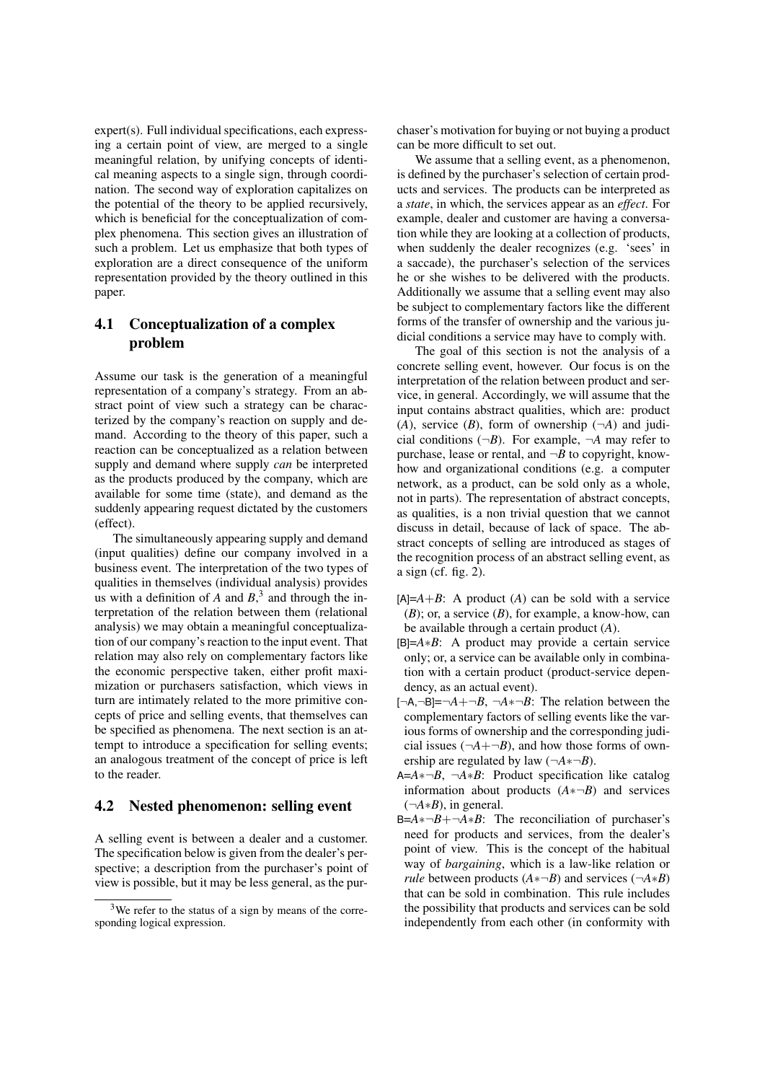expert(s). Full individual specifications, each expressing a certain point of view, are merged to a single meaningful relation, by unifying concepts of identical meaning aspects to a single sign, through coordination. The second way of exploration capitalizes on the potential of the theory to be applied recursively, which is beneficial for the conceptualization of complex phenomena. This section gives an illustration of such a problem. Let us emphasize that both types of exploration are a direct consequence of the uniform representation provided by the theory outlined in this paper.

# 4.1 Conceptualization of a complex problem

Assume our task is the generation of a meaningful representation of a company's strategy. From an abstract point of view such a strategy can be characterized by the company's reaction on supply and demand. According to the theory of this paper, such a reaction can be conceptualized as a relation between supply and demand where supply *can* be interpreted as the products produced by the company, which are available for some time (state), and demand as the suddenly appearing request dictated by the customers (effect).

The simultaneously appearing supply and demand (input qualities) define our company involved in a business event. The interpretation of the two types of qualities in themselves (individual analysis) provides us with a definition of  $A$  and  $B$ ,<sup>3</sup> and through the interpretation of the relation between them (relational analysis) we may obtain a meaningful conceptualization of our company's reaction to the input event. That relation may also rely on complementary factors like the economic perspective taken, either profit maximization or purchasers satisfaction, which views in turn are intimately related to the more primitive concepts of price and selling events, that themselves can be specified as phenomena. The next section is an attempt to introduce a specification for selling events; an analogous treatment of the concept of price is left to the reader.

#### 4.2 Nested phenomenon: selling event

A selling event is between a dealer and a customer. The specification below is given from the dealer's perspective; a description from the purchaser's point of view is possible, but it may be less general, as the purchaser's motivation for buying or not buying a product can be more difficult to set out.

We assume that a selling event, as a phenomenon, is defined by the purchaser's selection of certain products and services. The products can be interpreted as a *state*, in which, the services appear as an *effect*. For example, dealer and customer are having a conversation while they are looking at a collection of products, when suddenly the dealer recognizes (e.g. 'sees' in a saccade), the purchaser's selection of the services he or she wishes to be delivered with the products. Additionally we assume that a selling event may also be subject to complementary factors like the different forms of the transfer of ownership and the various judicial conditions a service may have to comply with.

The goal of this section is not the analysis of a concrete selling event, however. Our focus is on the interpretation of the relation between product and service, in general. Accordingly, we will assume that the input contains abstract qualities, which are: product  $(A)$ , service  $(B)$ , form of ownership  $(\neg A)$  and judicial conditions  $(\neg B)$ . For example,  $\neg A$  may refer to purchase, lease or rental, and  $\neg B$  to copyright, knowhow and organizational conditions (e.g. a computer network, as a product, can be sold only as a whole, not in parts). The representation of abstract concepts, as qualities, is a non trivial question that we cannot discuss in detail, because of lack of space. The abstract concepts of selling are introduced as stages of the recognition process of an abstract selling event, as a sign (cf. fig. 2).

- $[A]=A+B$ : A product  $(A)$  can be sold with a service (*B*); or, a service (*B*), for example, a know-how, can be available through a certain product (*A*).
- [B]=*A*∗*B*: A product may provide a certain service only; or, a service can be available only in combination with a certain product (product-service dependency, as an actual event).
- $[-A,-B]=-A+~B$ ,  $-A*-B$ : The relation between the complementary factors of selling events like the various forms of ownership and the corresponding judicial issues  $(\neg A + \neg B)$ , and how those forms of ownership are regulated by law  $(\neg A \cdot \neg B)$ .
- A=*A*∗¬*B*, ¬*A*∗*B*: Product specification like catalog information about products (*A*∗¬*B*) and services (¬*A*∗*B*), in general.
- B=*A*∗¬*B*+¬*A*∗*B*: The reconciliation of purchaser's need for products and services, from the dealer's point of view. This is the concept of the habitual way of *bargaining*, which is a law-like relation or *rule* between products  $(A \times \neg B)$  and services ( $\neg A \times B$ ) that can be sold in combination. This rule includes the possibility that products and services can be sold independently from each other (in conformity with

<sup>&</sup>lt;sup>3</sup>We refer to the status of a sign by means of the corresponding logical expression.